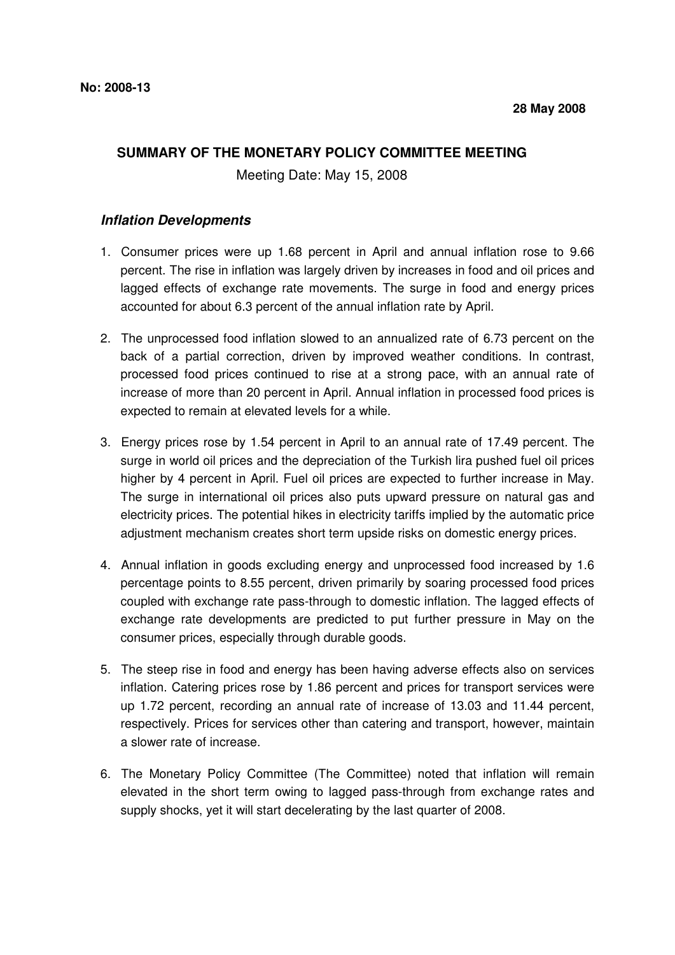## **SUMMARY OF THE MONETARY POLICY COMMITTEE MEETING**

Meeting Date: May 15, 2008

## **Inflation Developments**

- 1. Consumer prices were up 1.68 percent in April and annual inflation rose to 9.66 percent. The rise in inflation was largely driven by increases in food and oil prices and lagged effects of exchange rate movements. The surge in food and energy prices accounted for about 6.3 percent of the annual inflation rate by April.
- 2. The unprocessed food inflation slowed to an annualized rate of 6.73 percent on the back of a partial correction, driven by improved weather conditions. In contrast, processed food prices continued to rise at a strong pace, with an annual rate of increase of more than 20 percent in April. Annual inflation in processed food prices is expected to remain at elevated levels for a while.
- 3. Energy prices rose by 1.54 percent in April to an annual rate of 17.49 percent. The surge in world oil prices and the depreciation of the Turkish lira pushed fuel oil prices higher by 4 percent in April. Fuel oil prices are expected to further increase in May. The surge in international oil prices also puts upward pressure on natural gas and electricity prices. The potential hikes in electricity tariffs implied by the automatic price adjustment mechanism creates short term upside risks on domestic energy prices.
- 4. Annual inflation in goods excluding energy and unprocessed food increased by 1.6 percentage points to 8.55 percent, driven primarily by soaring processed food prices coupled with exchange rate pass-through to domestic inflation. The lagged effects of exchange rate developments are predicted to put further pressure in May on the consumer prices, especially through durable goods.
- 5. The steep rise in food and energy has been having adverse effects also on services inflation. Catering prices rose by 1.86 percent and prices for transport services were up 1.72 percent, recording an annual rate of increase of 13.03 and 11.44 percent, respectively. Prices for services other than catering and transport, however, maintain a slower rate of increase.
- 6. The Monetary Policy Committee (The Committee) noted that inflation will remain elevated in the short term owing to lagged pass-through from exchange rates and supply shocks, yet it will start decelerating by the last quarter of 2008.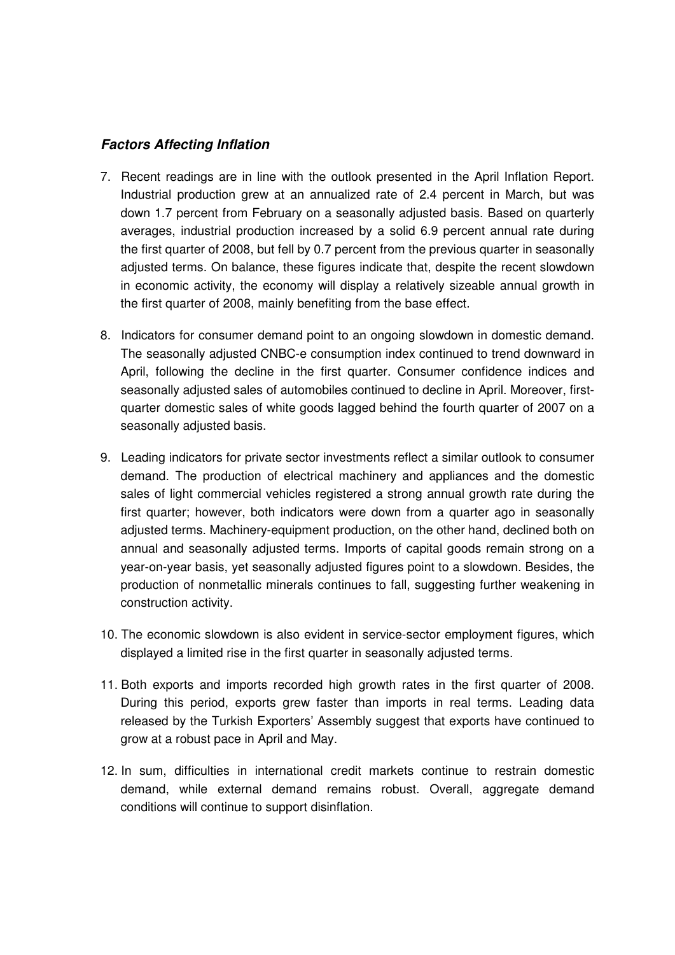## **Factors Affecting Inflation**

- 7. Recent readings are in line with the outlook presented in the April Inflation Report. Industrial production grew at an annualized rate of 2.4 percent in March, but was down 1.7 percent from February on a seasonally adjusted basis. Based on quarterly averages, industrial production increased by a solid 6.9 percent annual rate during the first quarter of 2008, but fell by 0.7 percent from the previous quarter in seasonally adjusted terms. On balance, these figures indicate that, despite the recent slowdown in economic activity, the economy will display a relatively sizeable annual growth in the first quarter of 2008, mainly benefiting from the base effect.
- 8. Indicators for consumer demand point to an ongoing slowdown in domestic demand. The seasonally adjusted CNBC-e consumption index continued to trend downward in April, following the decline in the first quarter. Consumer confidence indices and seasonally adjusted sales of automobiles continued to decline in April. Moreover, firstquarter domestic sales of white goods lagged behind the fourth quarter of 2007 on a seasonally adjusted basis.
- 9. Leading indicators for private sector investments reflect a similar outlook to consumer demand. The production of electrical machinery and appliances and the domestic sales of light commercial vehicles registered a strong annual growth rate during the first quarter; however, both indicators were down from a quarter ago in seasonally adjusted terms. Machinery-equipment production, on the other hand, declined both on annual and seasonally adjusted terms. Imports of capital goods remain strong on a year-on-year basis, yet seasonally adjusted figures point to a slowdown. Besides, the production of nonmetallic minerals continues to fall, suggesting further weakening in construction activity.
- 10. The economic slowdown is also evident in service-sector employment figures, which displayed a limited rise in the first quarter in seasonally adjusted terms.
- 11. Both exports and imports recorded high growth rates in the first quarter of 2008. During this period, exports grew faster than imports in real terms. Leading data released by the Turkish Exporters' Assembly suggest that exports have continued to grow at a robust pace in April and May.
- 12. In sum, difficulties in international credit markets continue to restrain domestic demand, while external demand remains robust. Overall, aggregate demand conditions will continue to support disinflation.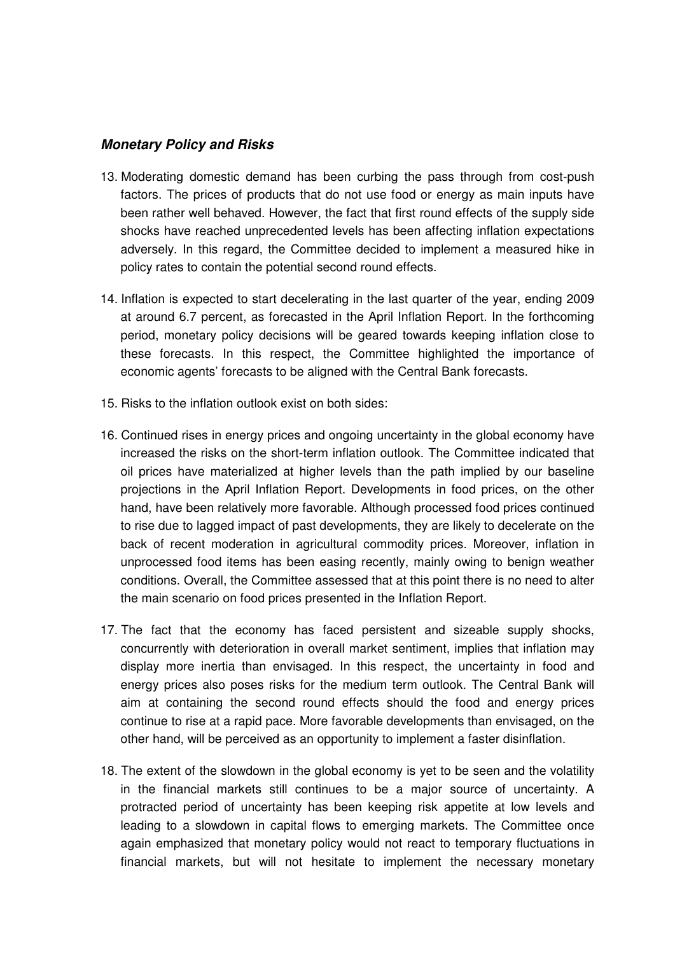## **Monetary Policy and Risks**

- 13. Moderating domestic demand has been curbing the pass through from cost-push factors. The prices of products that do not use food or energy as main inputs have been rather well behaved. However, the fact that first round effects of the supply side shocks have reached unprecedented levels has been affecting inflation expectations adversely. In this regard, the Committee decided to implement a measured hike in policy rates to contain the potential second round effects.
- 14. Inflation is expected to start decelerating in the last quarter of the year, ending 2009 at around 6.7 percent, as forecasted in the April Inflation Report. In the forthcoming period, monetary policy decisions will be geared towards keeping inflation close to these forecasts. In this respect, the Committee highlighted the importance of economic agents' forecasts to be aligned with the Central Bank forecasts.
- 15. Risks to the inflation outlook exist on both sides:
- 16. Continued rises in energy prices and ongoing uncertainty in the global economy have increased the risks on the short-term inflation outlook. The Committee indicated that oil prices have materialized at higher levels than the path implied by our baseline projections in the April Inflation Report. Developments in food prices, on the other hand, have been relatively more favorable. Although processed food prices continued to rise due to lagged impact of past developments, they are likely to decelerate on the back of recent moderation in agricultural commodity prices. Moreover, inflation in unprocessed food items has been easing recently, mainly owing to benign weather conditions. Overall, the Committee assessed that at this point there is no need to alter the main scenario on food prices presented in the Inflation Report.
- 17. The fact that the economy has faced persistent and sizeable supply shocks, concurrently with deterioration in overall market sentiment, implies that inflation may display more inertia than envisaged. In this respect, the uncertainty in food and energy prices also poses risks for the medium term outlook. The Central Bank will aim at containing the second round effects should the food and energy prices continue to rise at a rapid pace. More favorable developments than envisaged, on the other hand, will be perceived as an opportunity to implement a faster disinflation.
- 18. The extent of the slowdown in the global economy is yet to be seen and the volatility in the financial markets still continues to be a major source of uncertainty. A protracted period of uncertainty has been keeping risk appetite at low levels and leading to a slowdown in capital flows to emerging markets. The Committee once again emphasized that monetary policy would not react to temporary fluctuations in financial markets, but will not hesitate to implement the necessary monetary